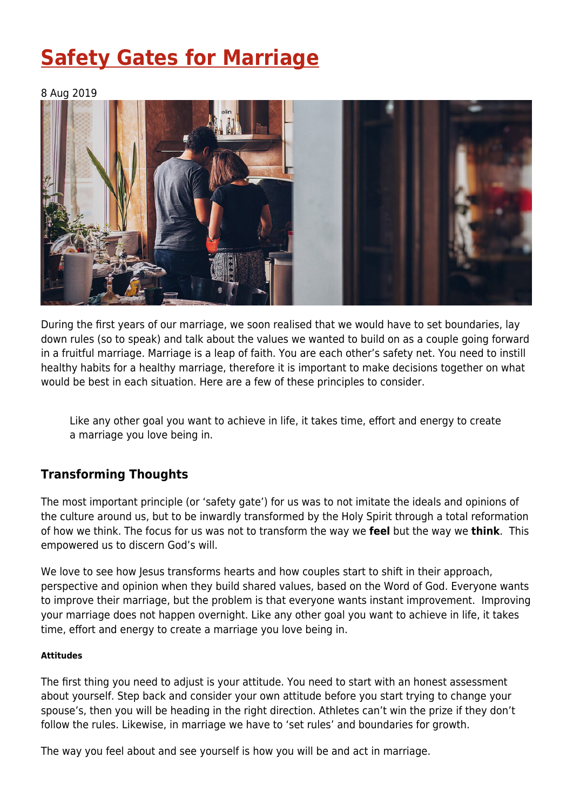# **[Safety Gates for Marriage](https://four12global.com/articles/safety-gates-for-marriage/)**

## 8 Aug 2019



During the first years of our marriage, we soon realised that we would have to set boundaries, lay down rules (so to speak) and talk about the values we wanted to build on as a couple going forward in a fruitful marriage. Marriage is a leap of faith. You are each other's safety net. You need to instill healthy habits for a healthy marriage, therefore it is important to make decisions together on what would be best in each situation. Here are a few of these principles to consider.

Like any other goal you want to achieve in life, it takes time, effort and energy to create a marriage you love being in.

# **Transforming Thoughts**

The most important principle (or 'safety gate') for us was to not imitate the ideals and opinions of the culture around us, but to be inwardly transformed by the Holy Spirit through a total reformation of how we think. The focus for us was not to transform the way we **feel** but the way we **think**. This empowered us to discern God's will.

We love to see how Jesus transforms hearts and how couples start to shift in their approach, perspective and opinion when they build shared values, based on the Word of God. Everyone wants to improve their marriage, but the problem is that everyone wants instant improvement. Improving your marriage does not happen overnight. Like any other goal you want to achieve in life, it takes time, effort and energy to create a marriage you love being in.

#### **Attitudes**

The first thing you need to adjust is your attitude. You need to start with an honest assessment about yourself. Step back and consider your own attitude before you start trying to change your spouse's, then you will be heading in the right direction. Athletes can't win the prize if they don't follow the rules. Likewise, in marriage we have to 'set rules' and boundaries for growth.

The way you feel about and see yourself is how you will be and act in marriage.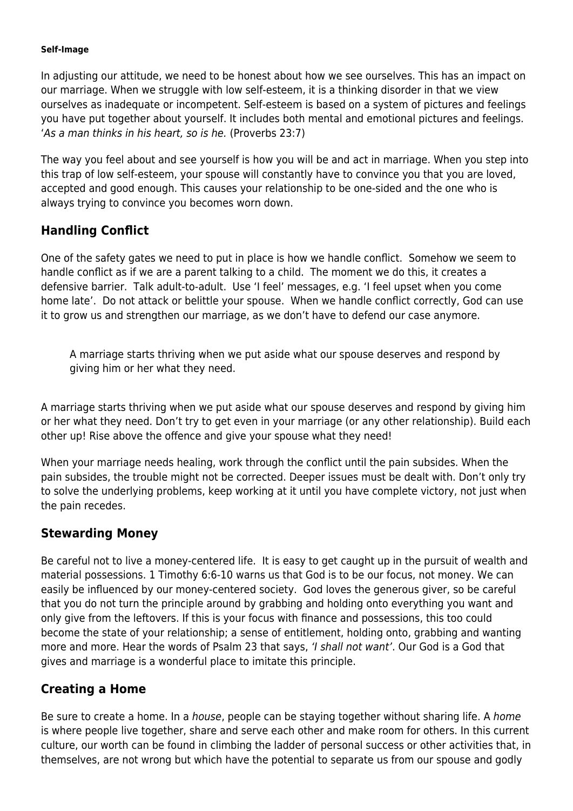#### **Self-Image**

In adjusting our attitude, we need to be honest about how we see ourselves. This has an impact on our marriage. When we struggle with low self-esteem, it is a thinking disorder in that we view ourselves as inadequate or incompetent. Self-esteem is based on a system of pictures and feelings you have put together about yourself. It includes both mental and emotional pictures and feelings. 'As a man thinks in his heart, so is he. (Proverbs 23:7)

The way you feel about and see yourself is how you will be and act in marriage. When you step into this trap of low self-esteem, your spouse will constantly have to convince you that you are loved, accepted and good enough. This causes your relationship to be one-sided and the one who is always trying to convince you becomes worn down.

# **Handling Conflict**

One of the safety gates we need to put in place is how we handle conflict. Somehow we seem to handle conflict as if we are a parent talking to a child. The moment we do this, it creates a defensive barrier. Talk adult-to-adult. Use 'I feel' messages, e.g. 'I feel upset when you come home late'. Do not attack or belittle your spouse. When we handle conflict correctly, God can use it to grow us and strengthen our marriage, as we don't have to defend our case anymore.

A marriage starts thriving when we put aside what our spouse deserves and respond by giving him or her what they need.

A marriage starts thriving when we put aside what our spouse deserves and respond by giving him or her what they need. Don't try to get even in your marriage (or any other relationship). Build each other up! Rise above the offence and give your spouse what they need!

When your marriage needs healing, work through the conflict until the pain subsides. When the pain subsides, the trouble might not be corrected. Deeper issues must be dealt with. Don't only try to solve the underlying problems, keep working at it until you have complete victory, not just when the pain recedes.

## **Stewarding Money**

Be careful not to live a money-centered life. It is easy to get caught up in the pursuit of wealth and material possessions. 1 Timothy 6:6-10 warns us that God is to be our focus, not money. We can easily be influenced by our money-centered society. God loves the generous giver, so be careful that you do not turn the principle around by grabbing and holding onto everything you want and only give from the leftovers. If this is your focus with finance and possessions, this too could become the state of your relationship; a sense of entitlement, holding onto, grabbing and wanting more and more. Hear the words of Psalm 23 that says, 'I shall not want'. Our God is a God that gives and marriage is a wonderful place to imitate this principle.

# **Creating a Home**

Be sure to create a home. In a *house*, people can be staying together without sharing life. A *home* is where people live together, share and serve each other and make room for others. In this current culture, our worth can be found in climbing the ladder of personal success or other activities that, in themselves, are not wrong but which have the potential to separate us from our spouse and godly